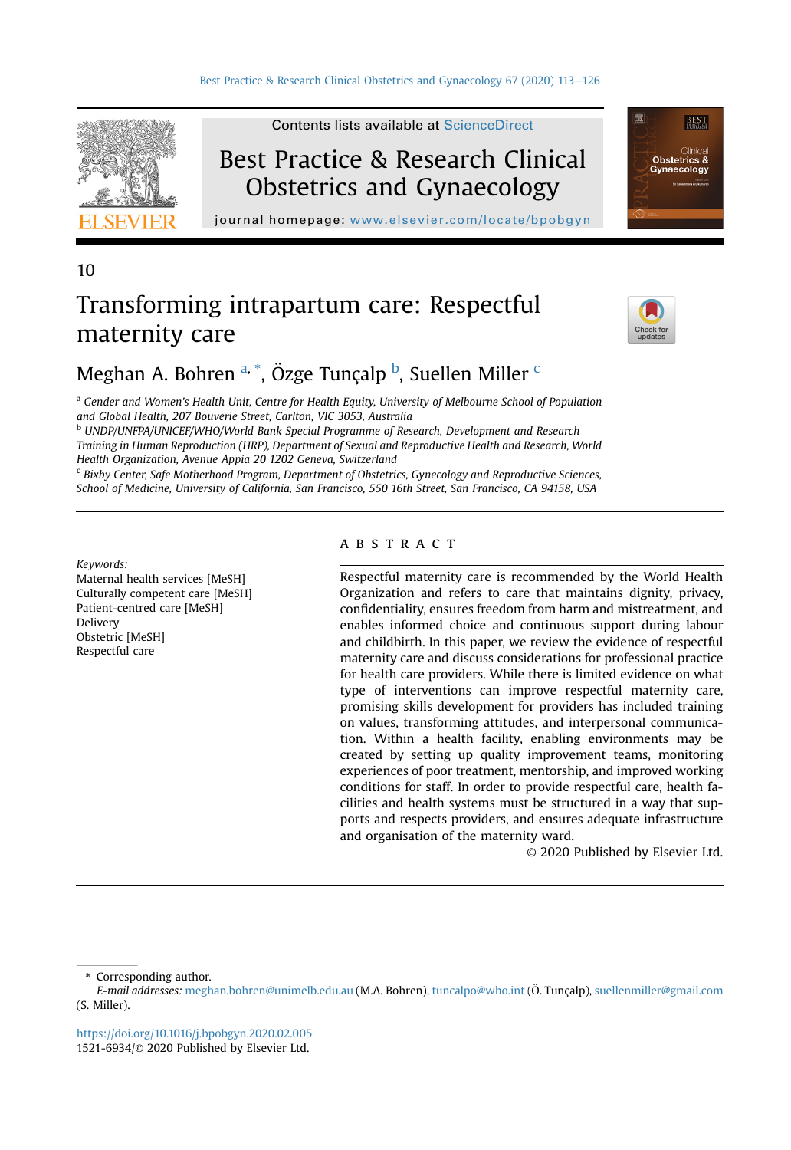

Contents lists available at [ScienceDirect](www.sciencedirect.com/science/journal/15216934)

## Best Practice & Research Clinical Obstetrics and Gynaecology

journal homepage: [www.elsevier.com/locate/bpobgyn](http://www.elsevier.com/locate/bpobgyn)

## 10

# Transforming intrapartum care: Respectful maternity care



**BEST** 

Obstetrics 8

## Megh[a](#page-0-0)n A. Bohren <sup>a, \*</sup>, Özge Tunçalp <sup>[b](#page-0-1)</sup>, Suellen Miller <sup>[c](#page-0-2)</sup>

<span id="page-0-0"></span><sup>a</sup> Gender and Women's Health Unit, Centre for Health Equity, University of Melbourne School of Population and Global Health, 207 Bouverie Street, Carlton, VIC 3053, Australia

<span id="page-0-1"></span><sup>b</sup> UNDP/UNFPA/UNICEF/WHO/World Bank Special Programme of Research, Development and Research Training in Human Reproduction (HRP), Department of Sexual and Reproductive Health and Research, World Health Organization, Avenue Appia 20 1202 Geneva, Switzerland

<span id="page-0-2"></span> $c$  Bixby Center, Safe Motherhood Program, Department of Obstetrics, Gynecology and Reproductive Sciences, School of Medicine, University of California, San Francisco, 550 16th Street, San Francisco, CA 94158, USA

Keywords:

Maternal health services [MeSH] Culturally competent care [MeSH] Patient-centred care [MeSH] Delivery Obstetric [MeSH] Respectful care

#### **ABSTRACT**

Respectful maternity care is recommended by the World Health Organization and refers to care that maintains dignity, privacy, confidentiality, ensures freedom from harm and mistreatment, and enables informed choice and continuous support during labour and childbirth. In this paper, we review the evidence of respectful maternity care and discuss considerations for professional practice for health care providers. While there is limited evidence on what type of interventions can improve respectful maternity care, promising skills development for providers has included training on values, transforming attitudes, and interpersonal communication. Within a health facility, enabling environments may be created by setting up quality improvement teams, monitoring experiences of poor treatment, mentorship, and improved working conditions for staff. In order to provide respectful care, health facilities and health systems must be structured in a way that supports and respects providers, and ensures adequate infrastructure and organisation of the maternity ward.

© 2020 Published by Elsevier Ltd.

\* Corresponding author.

E-mail addresses: [meghan.bohren@unimelb.edu.au](mailto:meghan.bohren@unimelb.edu.au) (M.A. Bohren), [tuncalpo@who.int](mailto:tuncalpo@who.int) (Ö. Tunçalp), [suellenmiller@gmail.com](mailto:suellenmiller@gmail.com) (S. Miller).

<https://doi.org/10.1016/j.bpobgyn.2020.02.005> 1521-6934/© 2020 Published by Elsevier Ltd.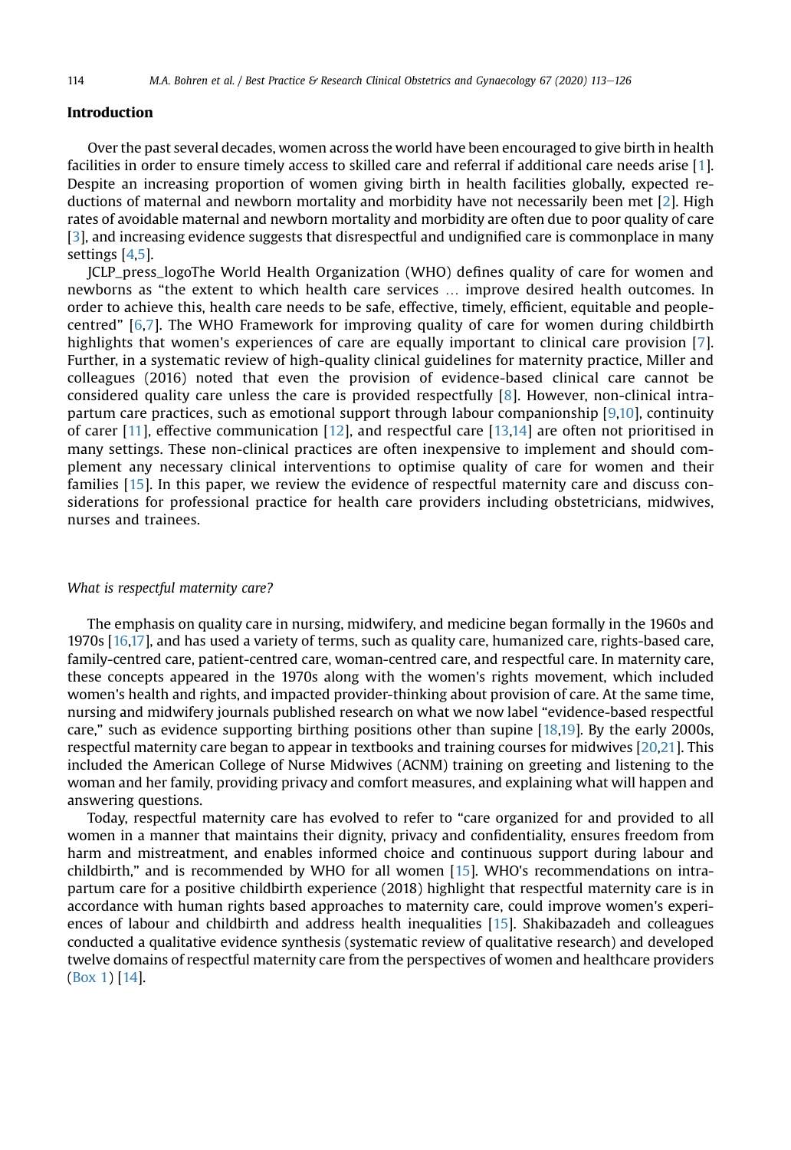## Introduction

Over the past several decades, women across the world have been encouraged to give birth in health facilities in order to ensure timely access to skilled care and referral if additional care needs arise [[1\]](#page-12-0). Despite an increasing proportion of women giving birth in health facilities globally, expected reductions of maternal and newborn mortality and morbidity have not necessarily been met [\[2\]](#page-12-1). High rates of avoidable maternal and newborn mortality and morbidity are often due to poor quality of care [[3\]](#page-12-2), and increasing evidence suggests that disrespectful and undignified care is commonplace in many settings [[4](#page-12-3)[,5](#page-12-4)].

JCLP\_press\_logoThe World Health Organization (WHO) defines quality of care for women and newborns as "the extent to which health care services … improve desired health outcomes. In order to achieve this, health care needs to be safe, effective, timely, efficient, equitable and peoplecentred" [\[6](#page-12-5)[,7](#page-12-6)]. The WHO Framework for improving quality of care for women during childbirth highlights that women's experiences of care are equally important to clinical care provision [[7](#page-12-6)]. Further, in a systematic review of high-quality clinical guidelines for maternity practice, Miller and colleagues (2016) noted that even the provision of evidence-based clinical care cannot be considered quality care unless the care is provided respectfully [\[8](#page-12-7)]. However, non-clinical intrapartum care practices, such as emotional support through labour companionship [[9,](#page-12-8)[10](#page-12-9)], continuity of carer [[11\]](#page-12-10), effective communication [\[12\]](#page-12-11), and respectful care [\[13](#page-12-12)[,14\]](#page-12-13) are often not prioritised in many settings. These non-clinical practices are often inexpensive to implement and should complement any necessary clinical interventions to optimise quality of care for women and their families [\[15](#page-12-14)]. In this paper, we review the evidence of respectful maternity care and discuss considerations for professional practice for health care providers including obstetricians, midwives, nurses and trainees.

#### What is respectful maternity care?

The emphasis on quality care in nursing, midwifery, and medicine began formally in the 1960s and 1970s [[16,](#page-12-15)[17\]](#page-12-16), and has used a variety of terms, such as quality care, humanized care, rights-based care, family-centred care, patient-centred care, woman-centred care, and respectful care. In maternity care, these concepts appeared in the 1970s along with the women's rights movement, which included women's health and rights, and impacted provider-thinking about provision of care. At the same time, nursing and midwifery journals published research on what we now label "evidence-based respectful care," such as evidence supporting birthing positions other than supine [\[18](#page-12-17)[,19](#page-12-18)]. By the early 2000s, respectful maternity care began to appear in textbooks and training courses for midwives [\[20,](#page-12-19)[21\]](#page-12-20). This included the American College of Nurse Midwives (ACNM) training on greeting and listening to the woman and her family, providing privacy and comfort measures, and explaining what will happen and answering questions.

Today, respectful maternity care has evolved to refer to "care organized for and provided to all women in a manner that maintains their dignity, privacy and confidentiality, ensures freedom from harm and mistreatment, and enables informed choice and continuous support during labour and childbirth," and is recommended by WHO for all women [\[15](#page-12-14)]. WHO's recommendations on intrapartum care for a positive childbirth experience (2018) highlight that respectful maternity care is in accordance with human rights based approaches to maternity care, could improve women's experiences of labour and childbirth and address health inequalities [[15\]](#page-12-14). Shakibazadeh and colleagues conducted a qualitative evidence synthesis (systematic review of qualitative research) and developed twelve domains of respectful maternity care from the perspectives of women and healthcare providers (Box 1) [[14](#page-12-13)].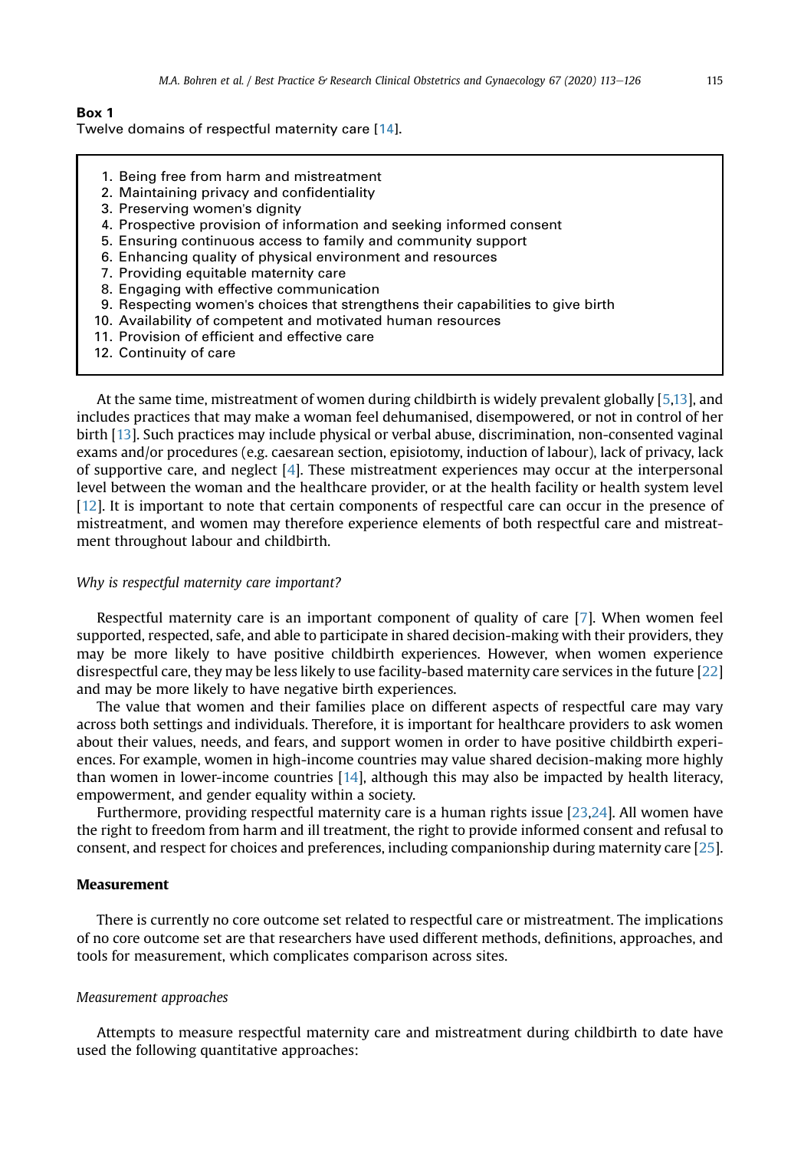#### Box 1

Twelve domains of respectful maternity care [[14](#page-12-13)].

- 1. Being free from harm and mistreatment
- 2. Maintaining privacy and confidentiality
- 3. Preserving women's dignity
- 4. Prospective provision of information and seeking informed consent
- 5. Ensuring continuous access to family and community support
- 6. Enhancing quality of physical environment and resources
- 7. Providing equitable maternity care
- 8. Engaging with effective communication
- 9. Respecting women's choices that strengthens their capabilities to give birth
- 10. Availability of competent and motivated human resources
- 11. Provision of efficient and effective care
- 12. Continuity of care

At the same time, mistreatment of women during childbirth is widely prevalent globally [[5,](#page-12-4)[13\]](#page-12-12), and includes practices that may make a woman feel dehumanised, disempowered, or not in control of her birth [[13\]](#page-12-12). Such practices may include physical or verbal abuse, discrimination, non-consented vaginal exams and/or procedures (e.g. caesarean section, episiotomy, induction of labour), lack of privacy, lack of supportive care, and neglect [[4\]](#page-12-3). These mistreatment experiences may occur at the interpersonal level between the woman and the healthcare provider, or at the health facility or health system level [\[12](#page-12-11)]. It is important to note that certain components of respectful care can occur in the presence of mistreatment, and women may therefore experience elements of both respectful care and mistreatment throughout labour and childbirth.

#### Why is respectful maternity care important?

Respectful maternity care is an important component of quality of care [\[7\]](#page-12-6). When women feel supported, respected, safe, and able to participate in shared decision-making with their providers, they may be more likely to have positive childbirth experiences. However, when women experience disrespectful care, they may be less likely to use facility-based maternity care services in the future [[22\]](#page-12-21) and may be more likely to have negative birth experiences.

The value that women and their families place on different aspects of respectful care may vary across both settings and individuals. Therefore, it is important for healthcare providers to ask women about their values, needs, and fears, and support women in order to have positive childbirth experiences. For example, women in high-income countries may value shared decision-making more highly than women in lower-income countries [[14\]](#page-12-13), although this may also be impacted by health literacy, empowerment, and gender equality within a society.

Furthermore, providing respectful maternity care is a human rights issue [[23,](#page-12-22)[24](#page-12-23)]. All women have the right to freedom from harm and ill treatment, the right to provide informed consent and refusal to consent, and respect for choices and preferences, including companionship during maternity care [[25](#page-13-0)].

#### **Measurement**

There is currently no core outcome set related to respectful care or mistreatment. The implications of no core outcome set are that researchers have used different methods, definitions, approaches, and tools for measurement, which complicates comparison across sites.

#### Measurement approaches

Attempts to measure respectful maternity care and mistreatment during childbirth to date have used the following quantitative approaches: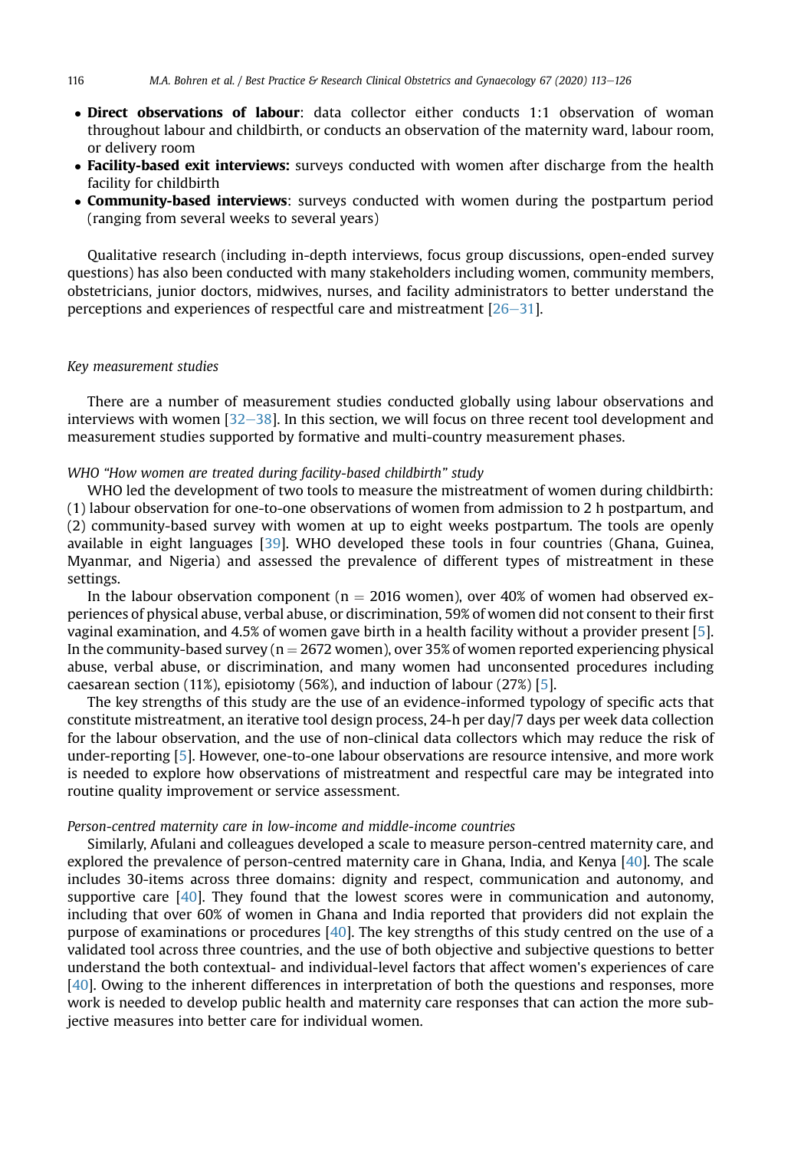- Direct observations of labour: data collector either conducts 1:1 observation of woman throughout labour and childbirth, or conducts an observation of the maternity ward, labour room, or delivery room
- Facility-based exit interviews: surveys conducted with women after discharge from the health facility for childbirth
- **Community-based interviews**: surveys conducted with women during the postpartum period (ranging from several weeks to several years)

Qualitative research (including in-depth interviews, focus group discussions, open-ended survey questions) has also been conducted with many stakeholders including women, community members, obstetricians, junior doctors, midwives, nurses, and facility administrators to better understand the perceptions and experiences of respectful care and mistreatment  $[26-31]$  $[26-31]$  $[26-31]$  $[26-31]$ .

#### Key measurement studies

There are a number of measurement studies conducted globally using labour observations and interviews with women  $[32-38]$  $[32-38]$  $[32-38]$  $[32-38]$  $[32-38]$ . In this section, we will focus on three recent tool development and measurement studies supported by formative and multi-country measurement phases.

#### WHO "How women are treated during facility-based childbirth" study

WHO led the development of two tools to measure the mistreatment of women during childbirth: (1) labour observation for one-to-one observations of women from admission to 2 h postpartum, and (2) community-based survey with women at up to eight weeks postpartum. The tools are openly available in eight languages [[39](#page-13-3)]. WHO developed these tools in four countries (Ghana, Guinea, Myanmar, and Nigeria) and assessed the prevalence of different types of mistreatment in these settings.

In the labour observation component ( $n = 2016$  women), over 40% of women had observed experiences of physical abuse, verbal abuse, or discrimination, 59% of women did not consent to their first vaginal examination, and 4.5% of women gave birth in a health facility without a provider present [[5\]](#page-12-4). In the community-based survey ( $n = 2672$  women), over 35% of women reported experiencing physical abuse, verbal abuse, or discrimination, and many women had unconsented procedures including caesarean section (11%), episiotomy (56%), and induction of labour (27%) [[5\]](#page-12-4).

The key strengths of this study are the use of an evidence-informed typology of specific acts that constitute mistreatment, an iterative tool design process, 24-h per day/7 days per week data collection for the labour observation, and the use of non-clinical data collectors which may reduce the risk of under-reporting [[5\]](#page-12-4). However, one-to-one labour observations are resource intensive, and more work is needed to explore how observations of mistreatment and respectful care may be integrated into routine quality improvement or service assessment.

#### Person-centred maternity care in low-income and middle-income countries

Similarly, Afulani and colleagues developed a scale to measure person-centred maternity care, and explored the prevalence of person-centred maternity care in Ghana, India, and Kenya [\[40\]](#page-13-4). The scale includes 30-items across three domains: dignity and respect, communication and autonomy, and supportive care [\[40\]](#page-13-4). They found that the lowest scores were in communication and autonomy, including that over 60% of women in Ghana and India reported that providers did not explain the purpose of examinations or procedures [\[40\]](#page-13-4). The key strengths of this study centred on the use of a validated tool across three countries, and the use of both objective and subjective questions to better understand the both contextual- and individual-level factors that affect women's experiences of care [[40](#page-13-4)]. Owing to the inherent differences in interpretation of both the questions and responses, more work is needed to develop public health and maternity care responses that can action the more subjective measures into better care for individual women.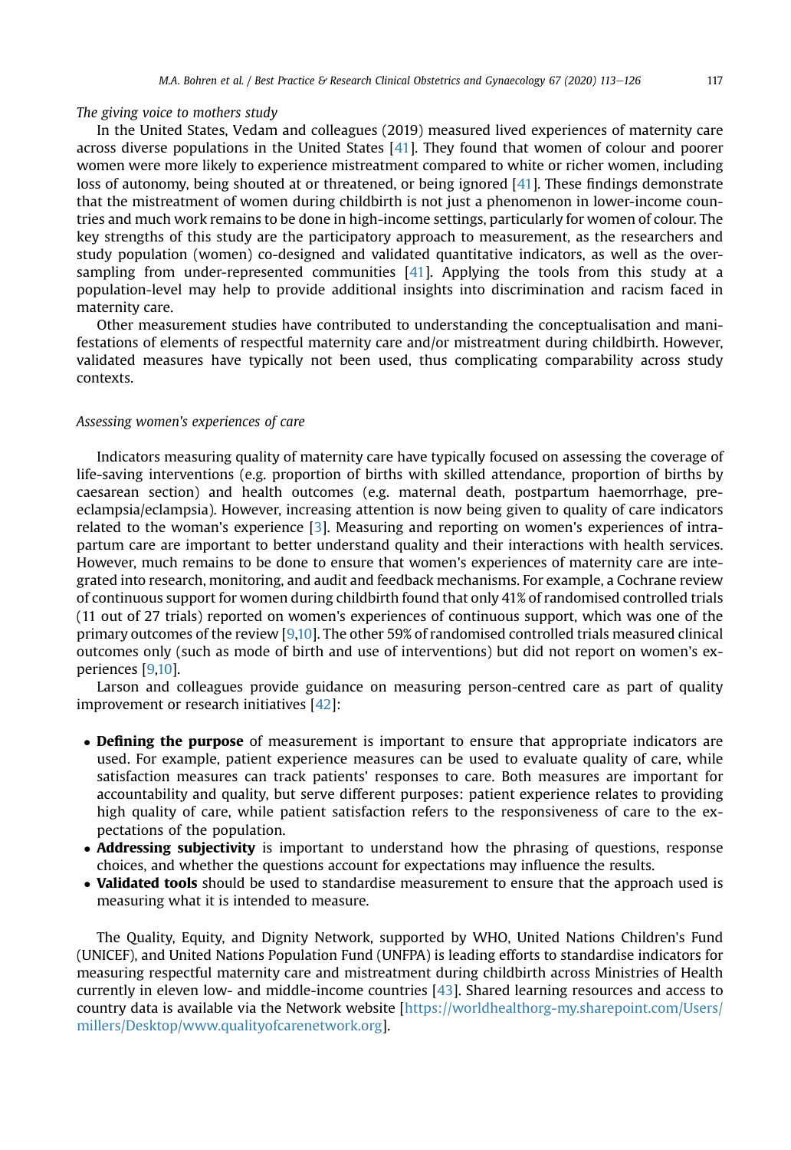#### The giving voice to mothers study

In the United States, Vedam and colleagues (2019) measured lived experiences of maternity care across diverse populations in the United States [\[41\]](#page-13-5). They found that women of colour and poorer women were more likely to experience mistreatment compared to white or richer women, including loss of autonomy, being shouted at or threatened, or being ignored [\[41](#page-13-5)]. These findings demonstrate that the mistreatment of women during childbirth is not just a phenomenon in lower-income countries and much work remains to be done in high-income settings, particularly for women of colour. The key strengths of this study are the participatory approach to measurement, as the researchers and study population (women) co-designed and validated quantitative indicators, as well as the oversampling from under-represented communities  $[41]$  $[41]$ . Applying the tools from this study at a population-level may help to provide additional insights into discrimination and racism faced in maternity care.

Other measurement studies have contributed to understanding the conceptualisation and manifestations of elements of respectful maternity care and/or mistreatment during childbirth. However, validated measures have typically not been used, thus complicating comparability across study contexts.

#### Assessing women's experiences of care

Indicators measuring quality of maternity care have typically focused on assessing the coverage of life-saving interventions (e.g. proportion of births with skilled attendance, proportion of births by caesarean section) and health outcomes (e.g. maternal death, postpartum haemorrhage, preeclampsia/eclampsia). However, increasing attention is now being given to quality of care indicators related to the woman's experience [[3\]](#page-12-2). Measuring and reporting on women's experiences of intrapartum care are important to better understand quality and their interactions with health services. However, much remains to be done to ensure that women's experiences of maternity care are integrated into research, monitoring, and audit and feedback mechanisms. For example, a Cochrane review of continuous support for women during childbirth found that only 41% of randomised controlled trials (11 out of 27 trials) reported on women's experiences of continuous support, which was one of the primary outcomes of the review [[9](#page-12-8)[,10\]](#page-12-9). The other 59% of randomised controlled trials measured clinical outcomes only (such as mode of birth and use of interventions) but did not report on women's experiences [[9,](#page-12-8)[10\]](#page-12-9).

Larson and colleagues provide guidance on measuring person-centred care as part of quality improvement or research initiatives [[42](#page-13-6)]:

- Defining the purpose of measurement is important to ensure that appropriate indicators are used. For example, patient experience measures can be used to evaluate quality of care, while satisfaction measures can track patients' responses to care. Both measures are important for accountability and quality, but serve different purposes: patient experience relates to providing high quality of care, while patient satisfaction refers to the responsiveness of care to the expectations of the population.
- Addressing subjectivity is important to understand how the phrasing of questions, response choices, and whether the questions account for expectations may influence the results.
- Validated tools should be used to standardise measurement to ensure that the approach used is measuring what it is intended to measure.

The Quality, Equity, and Dignity Network, supported by WHO, United Nations Children's Fund (UNICEF), and United Nations Population Fund (UNFPA) is leading efforts to standardise indicators for measuring respectful maternity care and mistreatment during childbirth across Ministries of Health currently in eleven low- and middle-income countries [[43](#page-13-7)]. Shared learning resources and access to country data is available via the Network website [\[https://worldhealthorg-my.sharepoint.com/Users/](https://worldhealthorg-my.sharepoint.com/Users/millers/Desktop/www.qualityofcarenetwork.org) [millers/Desktop/www.qualityofcarenetwork.org](https://worldhealthorg-my.sharepoint.com/Users/millers/Desktop/www.qualityofcarenetwork.org)].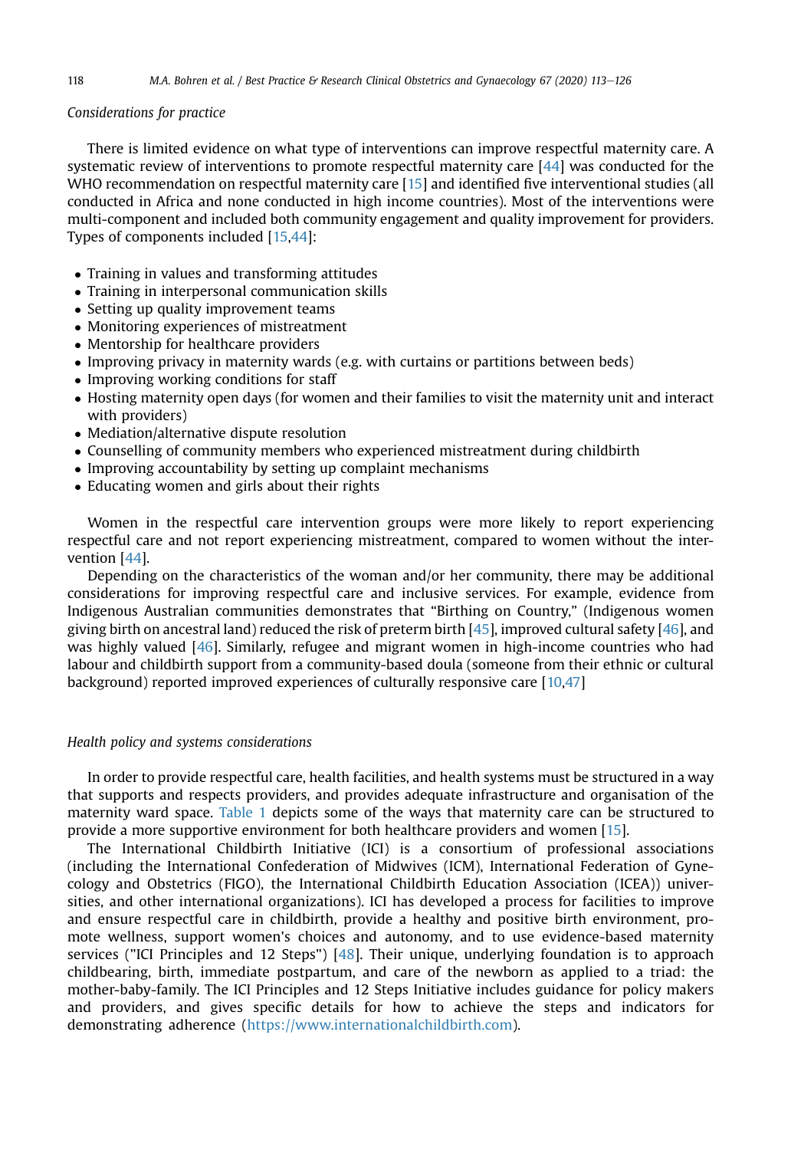#### Considerations for practice

There is limited evidence on what type of interventions can improve respectful maternity care. A systematic review of interventions to promote respectful maternity care [\[44](#page-13-8)] was conducted for the WHO recommendation on respectful maternity care [[15\]](#page-12-14) and identified five interventional studies (all conducted in Africa and none conducted in high income countries). Most of the interventions were multi-component and included both community engagement and quality improvement for providers. Types of components included [\[15](#page-12-14)[,44\]](#page-13-8):

- Training in values and transforming attitudes
- Training in interpersonal communication skills
- Setting up quality improvement teams
- Monitoring experiences of mistreatment
- Mentorship for healthcare providers
- Improving privacy in maternity wards (e.g. with curtains or partitions between beds)
- Improving working conditions for staff
- Hosting maternity open days (for women and their families to visit the maternity unit and interact with providers)
- Mediation/alternative dispute resolution
- Counselling of community members who experienced mistreatment during childbirth
- Improving accountability by setting up complaint mechanisms
- Educating women and girls about their rights

Women in the respectful care intervention groups were more likely to report experiencing respectful care and not report experiencing mistreatment, compared to women without the intervention [\[44\]](#page-13-8).

Depending on the characteristics of the woman and/or her community, there may be additional considerations for improving respectful care and inclusive services. For example, evidence from Indigenous Australian communities demonstrates that "Birthing on Country," (Indigenous women giving birth on ancestral land) reduced the risk of preterm birth [\[45\]](#page-13-9), improved cultural safety [\[46\]](#page-13-10), and was highly valued [[46](#page-13-10)]. Similarly, refugee and migrant women in high-income countries who had labour and childbirth support from a community-based doula (someone from their ethnic or cultural background) reported improved experiences of culturally responsive care [\[10](#page-12-9)[,47\]](#page-13-11)

#### Health policy and systems considerations

In order to provide respectful care, health facilities, and health systems must be structured in a way that supports and respects providers, and provides adequate infrastructure and organisation of the maternity ward space. [Table 1](#page-6-0) depicts some of the ways that maternity care can be structured to provide a more supportive environment for both healthcare providers and women [[15\]](#page-12-14).

The International Childbirth Initiative (ICI) is a consortium of professional associations (including the International Confederation of Midwives (ICM), International Federation of Gynecology and Obstetrics (FIGO), the International Childbirth Education Association (ICEA)) universities, and other international organizations). ICI has developed a process for facilities to improve and ensure respectful care in childbirth, provide a healthy and positive birth environment, promote wellness, support women's choices and autonomy, and to use evidence-based maternity services ("ICI Principles and 12 Steps") [\[48\]](#page-13-12). Their unique, underlying foundation is to approach childbearing, birth, immediate postpartum, and care of the newborn as applied to a triad: the mother-baby-family. The ICI Principles and 12 Steps Initiative includes guidance for policy makers and providers, and gives specific details for how to achieve the steps and indicators for demonstrating adherence [\(https://www.internationalchildbirth.com](https://www.internationalchildbirth.com)).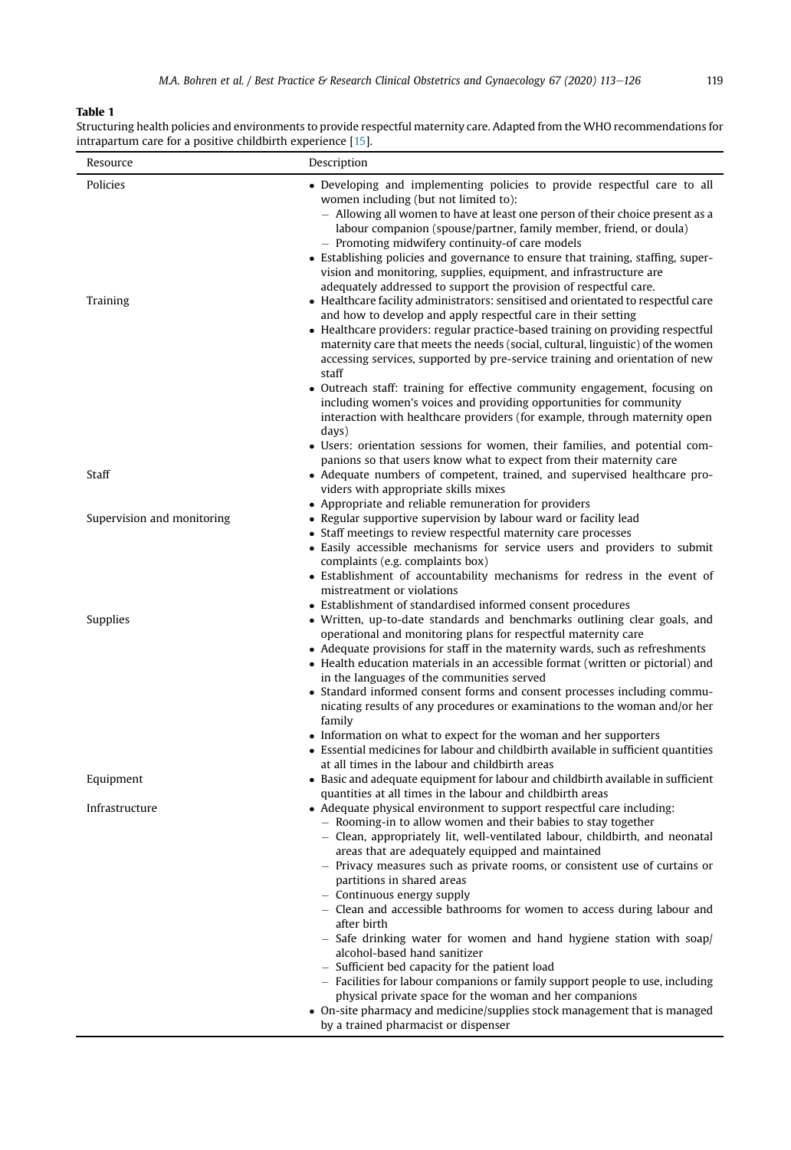## <span id="page-6-0"></span>Table 1

| Structuring health policies and environments to provide respectful maternity care. Adapted from the WHO recommendations for |
|-----------------------------------------------------------------------------------------------------------------------------|
| intrapartum care for a positive childbirth experience [15].                                                                 |
|                                                                                                                             |

| Resource                   | Description                                                                                                                                                                                                                                                                                                                                                                                                                                                                                                                                                                                                                                                                                                                                                                                                                                                                                                                                                                                                                                                                                                                                                                                                                                                                                                |
|----------------------------|------------------------------------------------------------------------------------------------------------------------------------------------------------------------------------------------------------------------------------------------------------------------------------------------------------------------------------------------------------------------------------------------------------------------------------------------------------------------------------------------------------------------------------------------------------------------------------------------------------------------------------------------------------------------------------------------------------------------------------------------------------------------------------------------------------------------------------------------------------------------------------------------------------------------------------------------------------------------------------------------------------------------------------------------------------------------------------------------------------------------------------------------------------------------------------------------------------------------------------------------------------------------------------------------------------|
| Policies<br>Training       | • Developing and implementing policies to provide respectful care to all<br>women including (but not limited to):<br>- Allowing all women to have at least one person of their choice present as a<br>labour companion (spouse/partner, family member, friend, or doula)<br>- Promoting midwifery continuity-of care models<br>• Establishing policies and governance to ensure that training, staffing, super-<br>vision and monitoring, supplies, equipment, and infrastructure are<br>adequately addressed to support the provision of respectful care.<br>• Healthcare facility administrators: sensitised and orientated to respectful care<br>and how to develop and apply respectful care in their setting<br>• Healthcare providers: regular practice-based training on providing respectful<br>maternity care that meets the needs (social, cultural, linguistic) of the women<br>accessing services, supported by pre-service training and orientation of new<br>staff<br>• Outreach staff: training for effective community engagement, focusing on<br>including women's voices and providing opportunities for community<br>interaction with healthcare providers (for example, through maternity open<br>days)<br>• Users: orientation sessions for women, their families, and potential com- |
| Staff                      | panions so that users know what to expect from their maternity care<br>• Adequate numbers of competent, trained, and supervised healthcare pro-<br>viders with appropriate skills mixes                                                                                                                                                                                                                                                                                                                                                                                                                                                                                                                                                                                                                                                                                                                                                                                                                                                                                                                                                                                                                                                                                                                    |
| Supervision and monitoring | • Appropriate and reliable remuneration for providers<br>• Regular supportive supervision by labour ward or facility lead<br>• Staff meetings to review respectful maternity care processes<br>• Easily accessible mechanisms for service users and providers to submit<br>complaints (e.g. complaints box)<br>• Establishment of accountability mechanisms for redress in the event of<br>mistreatment or violations                                                                                                                                                                                                                                                                                                                                                                                                                                                                                                                                                                                                                                                                                                                                                                                                                                                                                      |
| Supplies                   | • Establishment of standardised informed consent procedures<br>• Written, up-to-date standards and benchmarks outlining clear goals, and<br>operational and monitoring plans for respectful maternity care<br>• Adequate provisions for staff in the maternity wards, such as refreshments<br>• Health education materials in an accessible format (written or pictorial) and<br>in the languages of the communities served<br>• Standard informed consent forms and consent processes including commu-<br>nicating results of any procedures or examinations to the woman and/or her<br>family<br>• Information on what to expect for the woman and her supporters<br>• Essential medicines for labour and childbirth available in sufficient quantities<br>at all times in the labour and childbirth areas                                                                                                                                                                                                                                                                                                                                                                                                                                                                                               |
| Equipment                  | • Basic and adequate equipment for labour and childbirth available in sufficient<br>quantities at all times in the labour and childbirth areas                                                                                                                                                                                                                                                                                                                                                                                                                                                                                                                                                                                                                                                                                                                                                                                                                                                                                                                                                                                                                                                                                                                                                             |
| Infrastructure             | • Adequate physical environment to support respectful care including:<br>- Rooming-in to allow women and their babies to stay together<br>- Clean, appropriately lit, well-ventilated labour, childbirth, and neonatal<br>areas that are adequately equipped and maintained<br>- Privacy measures such as private rooms, or consistent use of curtains or<br>partitions in shared areas<br>- Continuous energy supply<br>Clean and accessible bathrooms for women to access during labour and<br>after birth<br>$-$ Safe drinking water for women and hand hygiene station with soap/<br>alcohol-based hand sanitizer<br>- Sufficient bed capacity for the patient load<br>- Facilities for labour companions or family support people to use, including<br>physical private space for the woman and her companions<br>• On-site pharmacy and medicine/supplies stock management that is managed<br>by a trained pharmacist or dispenser                                                                                                                                                                                                                                                                                                                                                                   |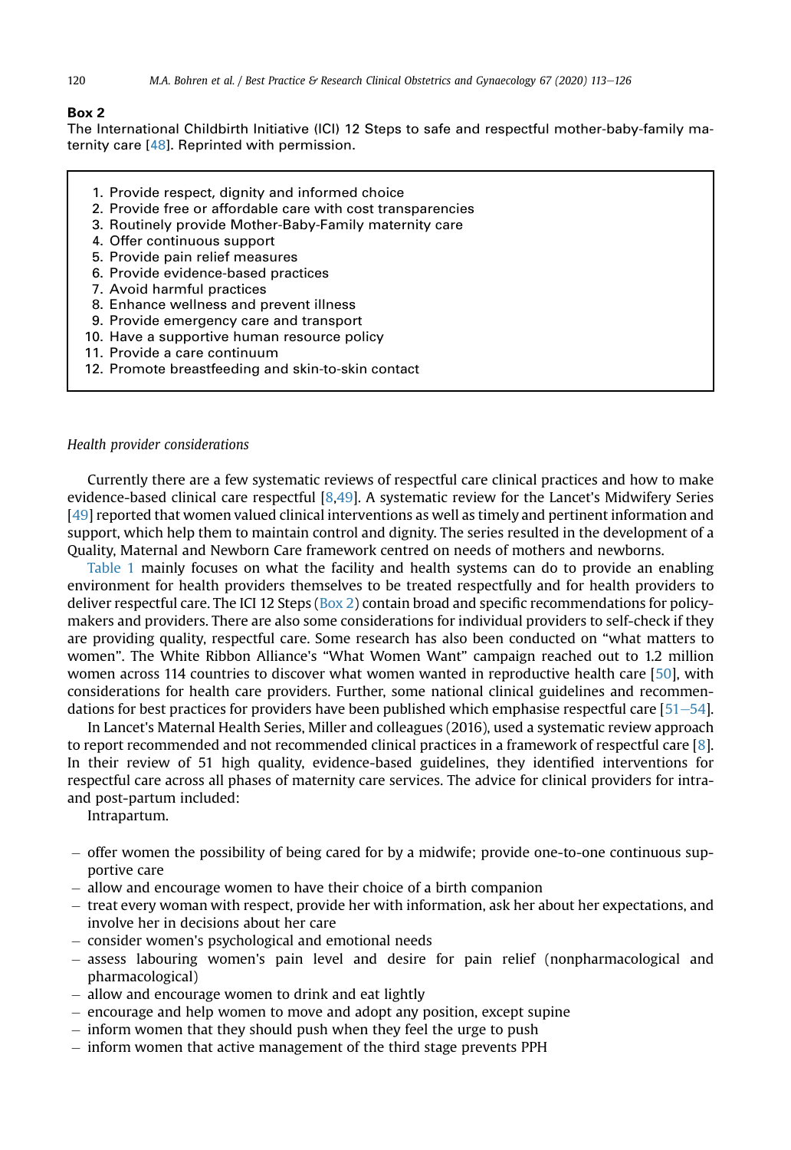#### Box 2

The International Childbirth Initiative (ICI) 12 Steps to safe and respectful mother-baby-family maternity care [[48](#page-13-12)]. Reprinted with permission.

- 1. Provide respect, dignity and informed choice
- 2. Provide free or affordable care with cost transparencies
- 3. Routinely provide Mother-Baby-Family maternity care
- 4. Offer continuous support
- 5. Provide pain relief measures
- 6. Provide evidence-based practices
- 7. Avoid harmful practices
- 8. Enhance wellness and prevent illness
- 9. Provide emergency care and transport
- 10. Have a supportive human resource policy
- 11. Provide a care continuum
- 12. Promote breastfeeding and skin-to-skin contact

#### Health provider considerations

Currently there are a few systematic reviews of respectful care clinical practices and how to make evidence-based clinical care respectful [[8](#page-12-7)[,49\]](#page-13-13). A systematic review for the Lancet's Midwifery Series [[49](#page-13-13)] reported that women valued clinical interventions as well as timely and pertinent information and support, which help them to maintain control and dignity. The series resulted in the development of a Quality, Maternal and Newborn Care framework centred on needs of mothers and newborns.

[Table 1](#page-6-0) mainly focuses on what the facility and health systems can do to provide an enabling environment for health providers themselves to be treated respectfully and for health providers to deliver respectful care. The ICI 12 Steps ( $Box 2$ ) contain broad and specific recommendations for policymakers and providers. There are also some considerations for individual providers to self-check if they are providing quality, respectful care. Some research has also been conducted on "what matters to women". The White Ribbon Alliance's "What Women Want" campaign reached out to 1.2 million women across 114 countries to discover what women wanted in reproductive health care [[50](#page-13-14)], with considerations for health care providers. Further, some national clinical guidelines and recommendations for best practices for providers have been published which emphasise respectful care  $[51–54]$  $[51–54]$  $[51–54]$ .

In Lancet's Maternal Health Series, Miller and colleagues (2016), used a systematic review approach to report recommended and not recommended clinical practices in a framework of respectful care [[8\]](#page-12-7). In their review of 51 high quality, evidence-based guidelines, they identified interventions for respectful care across all phases of maternity care services. The advice for clinical providers for intraand post-partum included:

Intrapartum.

- $-$  offer women the possibility of being cared for by a midwife; provide one-to-one continuous supportive care
- allow and encourage women to have their choice of a birth companion
- $-$  treat every woman with respect, provide her with information, ask her about her expectations, and involve her in decisions about her care
- consider women's psychological and emotional needs
- $-$  assess labouring women's pain level and desire for pain relief (nonpharmacological and pharmacological)
- allow and encourage women to drink and eat lightly
- $-$  encourage and help women to move and adopt any position, except supine
- $-$  inform women that they should push when they feel the urge to push
- inform women that active management of the third stage prevents PPH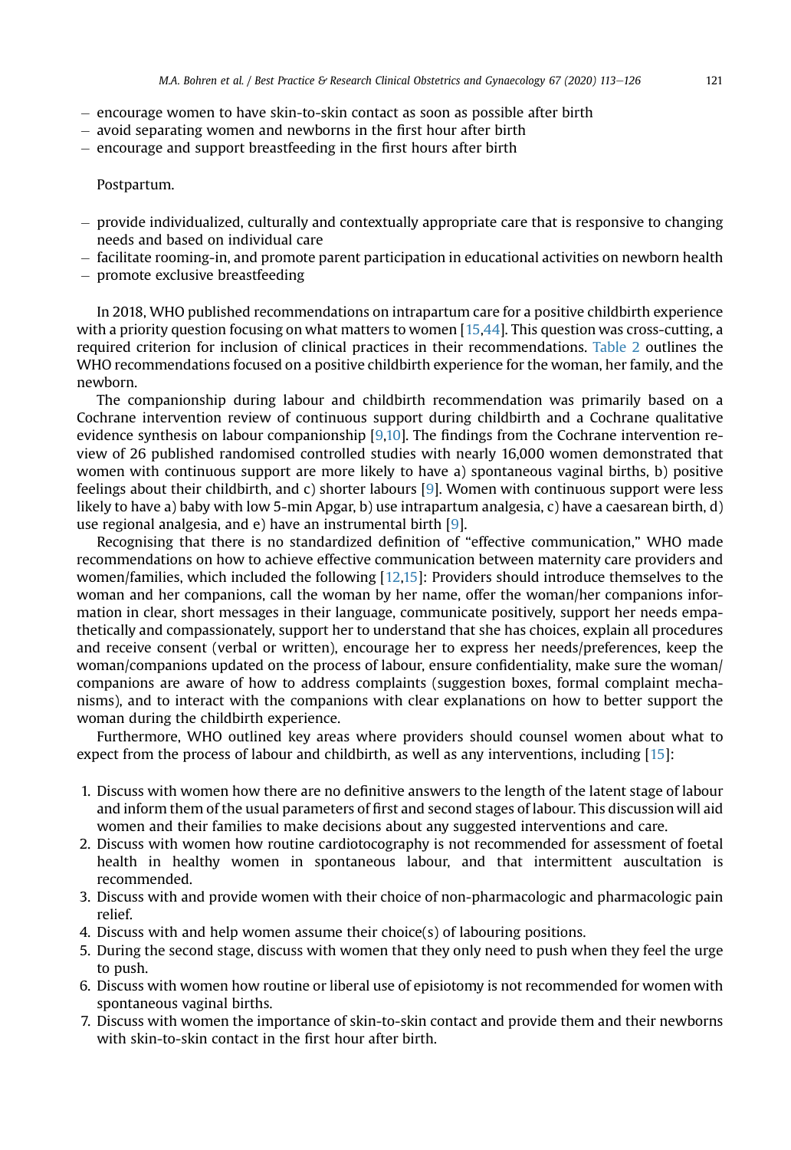- $-$  encourage women to have skin-to-skin contact as soon as possible after birth
- $-$  avoid separating women and newborns in the first hour after birth
- $-$  encourage and support breastfeeding in the first hours after birth

## Postpartum.

- $-$  provide individualized, culturally and contextually appropriate care that is responsive to changing needs and based on individual care
- $-$  facilitate rooming-in, and promote parent participation in educational activities on newborn health
- promote exclusive breastfeeding

In 2018, WHO published recommendations on intrapartum care for a positive childbirth experience with a priority question focusing on what matters to women [\[15](#page-12-14)[,44\]](#page-13-8). This question was cross-cutting, a required criterion for inclusion of clinical practices in their recommendations. [Table 2](#page-9-0) outlines the WHO recommendations focused on a positive childbirth experience for the woman, her family, and the newborn.

The companionship during labour and childbirth recommendation was primarily based on a Cochrane intervention review of continuous support during childbirth and a Cochrane qualitative evidence synthesis on labour companionship [\[9,](#page-12-8)[10](#page-12-9)]. The findings from the Cochrane intervention review of 26 published randomised controlled studies with nearly 16,000 women demonstrated that women with continuous support are more likely to have a) spontaneous vaginal births, b) positive feelings about their childbirth, and c) shorter labours [\[9\]](#page-12-8). Women with continuous support were less likely to have a) baby with low 5-min Apgar, b) use intrapartum analgesia, c) have a caesarean birth, d) use regional analgesia, and e) have an instrumental birth [[9\]](#page-12-8).

Recognising that there is no standardized definition of "effective communication," WHO made recommendations on how to achieve effective communication between maternity care providers and women/families, which included the following [[12](#page-12-11),[15](#page-12-14)]: Providers should introduce themselves to the woman and her companions, call the woman by her name, offer the woman/her companions information in clear, short messages in their language, communicate positively, support her needs empathetically and compassionately, support her to understand that she has choices, explain all procedures and receive consent (verbal or written), encourage her to express her needs/preferences, keep the woman/companions updated on the process of labour, ensure confidentiality, make sure the woman/ companions are aware of how to address complaints (suggestion boxes, formal complaint mechanisms), and to interact with the companions with clear explanations on how to better support the woman during the childbirth experience.

Furthermore, WHO outlined key areas where providers should counsel women about what to expect from the process of labour and childbirth, as well as any interventions, including [[15\]](#page-12-14):

- 1. Discuss with women how there are no definitive answers to the length of the latent stage of labour and inform them of the usual parameters of first and second stages of labour. This discussion will aid women and their families to make decisions about any suggested interventions and care.
- 2. Discuss with women how routine cardiotocography is not recommended for assessment of foetal health in healthy women in spontaneous labour, and that intermittent auscultation is recommended.
- 3. Discuss with and provide women with their choice of non-pharmacologic and pharmacologic pain relief.
- 4. Discuss with and help women assume their choice(s) of labouring positions.
- 5. During the second stage, discuss with women that they only need to push when they feel the urge to push.
- 6. Discuss with women how routine or liberal use of episiotomy is not recommended for women with spontaneous vaginal births.
- 7. Discuss with women the importance of skin-to-skin contact and provide them and their newborns with skin-to-skin contact in the first hour after birth.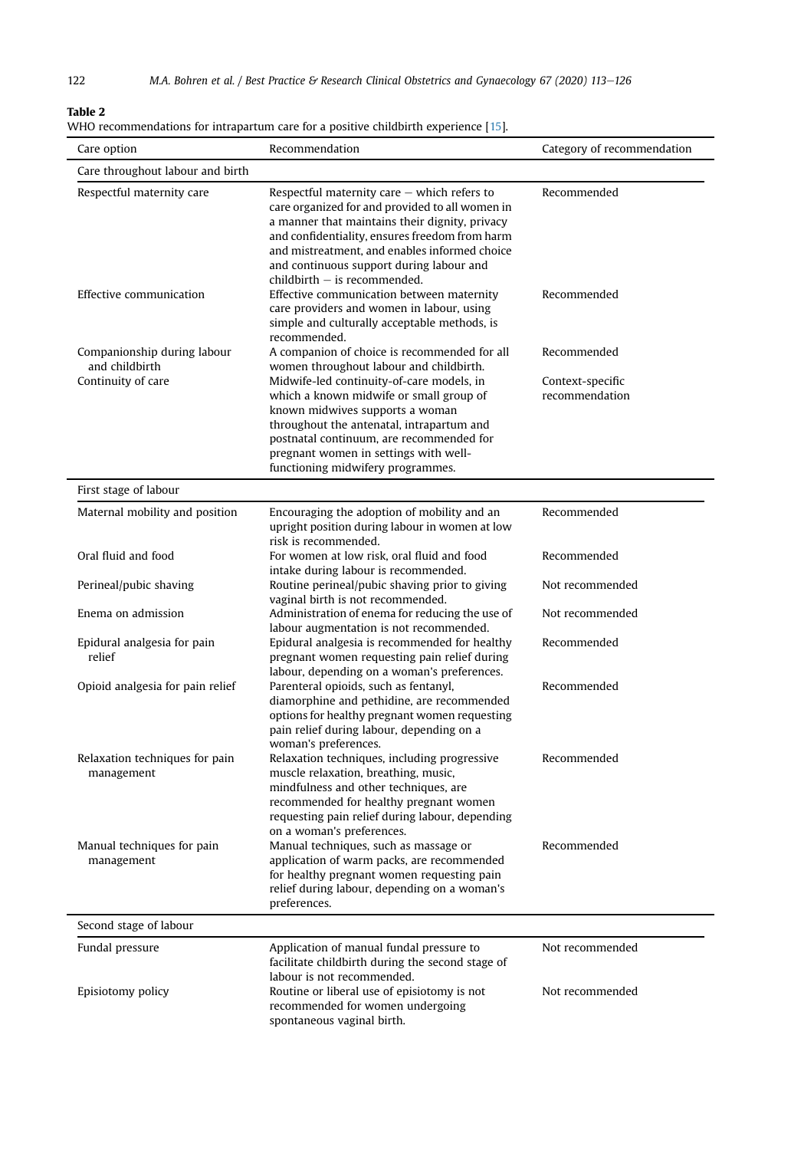## <span id="page-9-0"></span>Table 2

| WHO recommendations for intrapartum care for a positive childbirth experience [15]. | -Table 2 |
|-------------------------------------------------------------------------------------|----------|
|                                                                                     |          |

| Care option                                   | Recommendation                                                                                                                                                                                                                                                                                                                      | Category of recommendation |
|-----------------------------------------------|-------------------------------------------------------------------------------------------------------------------------------------------------------------------------------------------------------------------------------------------------------------------------------------------------------------------------------------|----------------------------|
| Care throughout labour and birth              |                                                                                                                                                                                                                                                                                                                                     |                            |
| Respectful maternity care                     | Respectful maternity care $-$ which refers to<br>care organized for and provided to all women in<br>a manner that maintains their dignity, privacy<br>and confidentiality, ensures freedom from harm<br>and mistreatment, and enables informed choice<br>and continuous support during labour and<br>$childbirth - is recommended.$ | Recommended                |
| Effective communication                       | Effective communication between maternity<br>care providers and women in labour, using<br>simple and culturally acceptable methods, is<br>recommended.                                                                                                                                                                              | Recommended                |
| Companionship during labour<br>and childbirth | A companion of choice is recommended for all<br>women throughout labour and childbirth.                                                                                                                                                                                                                                             | Recommended                |
| Continuity of care                            | Midwife-led continuity-of-care models, in                                                                                                                                                                                                                                                                                           | Context-specific           |
|                                               | which a known midwife or small group of<br>known midwives supports a woman<br>throughout the antenatal, intrapartum and<br>postnatal continuum, are recommended for<br>pregnant women in settings with well-<br>functioning midwifery programmes.                                                                                   | recommendation             |
| First stage of labour                         |                                                                                                                                                                                                                                                                                                                                     |                            |
| Maternal mobility and position                | Encouraging the adoption of mobility and an<br>upright position during labour in women at low<br>risk is recommended.                                                                                                                                                                                                               | Recommended                |
| Oral fluid and food                           | For women at low risk, oral fluid and food<br>intake during labour is recommended.                                                                                                                                                                                                                                                  | Recommended                |
| Perineal/pubic shaving                        | Routine perineal/pubic shaving prior to giving<br>vaginal birth is not recommended.                                                                                                                                                                                                                                                 | Not recommended            |
| Enema on admission                            | Administration of enema for reducing the use of<br>labour augmentation is not recommended.                                                                                                                                                                                                                                          | Not recommended            |
| Epidural analgesia for pain<br>relief         | Epidural analgesia is recommended for healthy<br>pregnant women requesting pain relief during<br>labour, depending on a woman's preferences.                                                                                                                                                                                        | Recommended                |
| Opioid analgesia for pain relief              | Parenteral opioids, such as fentanyl,<br>diamorphine and pethidine, are recommended<br>options for healthy pregnant women requesting<br>pain relief during labour, depending on a<br>woman's preferences.                                                                                                                           | Recommended                |
| Relaxation techniques for pain<br>management  | Relaxation techniques, including progressive<br>muscle relaxation, breathing, music,<br>mindfulness and other techniques, are<br>recommended for healthy pregnant women<br>requesting pain relief during labour, depending<br>on a woman's preferences.                                                                             | Recommended                |
| Manual techniques for pain<br>management      | Manual techniques, such as massage or<br>application of warm packs, are recommended<br>for healthy pregnant women requesting pain<br>relief during labour, depending on a woman's<br>preferences.                                                                                                                                   | Recommended                |
| Second stage of labour                        |                                                                                                                                                                                                                                                                                                                                     |                            |
| Fundal pressure                               | Application of manual fundal pressure to<br>facilitate childbirth during the second stage of<br>labour is not recommended.                                                                                                                                                                                                          | Not recommended            |
| Episiotomy policy                             | Routine or liberal use of episiotomy is not<br>recommended for women undergoing<br>spontaneous vaginal birth.                                                                                                                                                                                                                       | Not recommended            |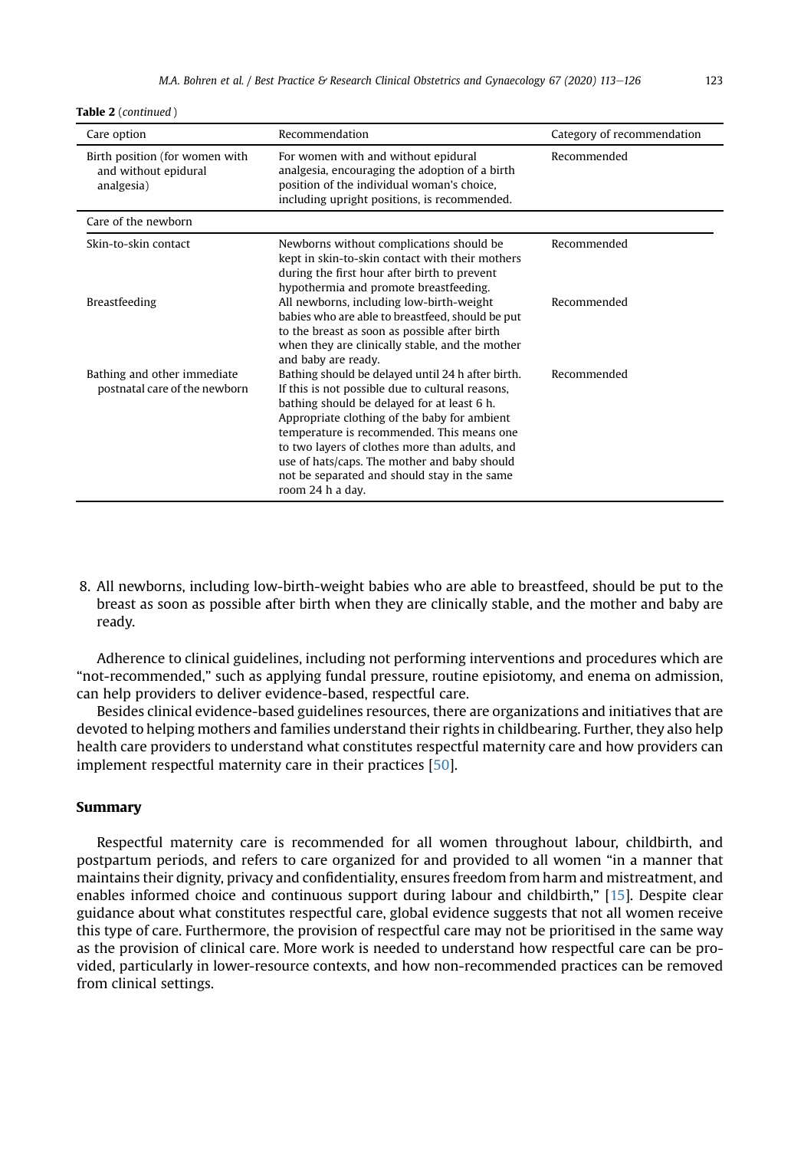Table 2 (continued )

| Care option                                                          | Recommendation                                                                                                                                                                                                                                                                                                                                                                                                           | Category of recommendation |
|----------------------------------------------------------------------|--------------------------------------------------------------------------------------------------------------------------------------------------------------------------------------------------------------------------------------------------------------------------------------------------------------------------------------------------------------------------------------------------------------------------|----------------------------|
| Birth position (for women with<br>and without epidural<br>analgesia) | For women with and without epidural<br>analgesia, encouraging the adoption of a birth<br>position of the individual woman's choice,<br>including upright positions, is recommended.                                                                                                                                                                                                                                      | Recommended                |
| Care of the newborn                                                  |                                                                                                                                                                                                                                                                                                                                                                                                                          |                            |
| Skin-to-skin contact                                                 | Newborns without complications should be<br>kept in skin-to-skin contact with their mothers<br>during the first hour after birth to prevent<br>hypothermia and promote breastfeeding.                                                                                                                                                                                                                                    | Recommended                |
| Breastfeeding                                                        | All newborns, including low-birth-weight<br>babies who are able to breastfeed, should be put<br>to the breast as soon as possible after birth<br>when they are clinically stable, and the mother<br>and baby are ready.                                                                                                                                                                                                  | Recommended                |
| Bathing and other immediate<br>postnatal care of the newborn         | Bathing should be delayed until 24 h after birth.<br>If this is not possible due to cultural reasons,<br>bathing should be delayed for at least 6 h.<br>Appropriate clothing of the baby for ambient<br>temperature is recommended. This means one<br>to two layers of clothes more than adults, and<br>use of hats/caps. The mother and baby should<br>not be separated and should stay in the same<br>room 24 h a day. | Recommended                |

8. All newborns, including low-birth-weight babies who are able to breastfeed, should be put to the breast as soon as possible after birth when they are clinically stable, and the mother and baby are ready.

Adherence to clinical guidelines, including not performing interventions and procedures which are "not-recommended," such as applying fundal pressure, routine episiotomy, and enema on admission, can help providers to deliver evidence-based, respectful care.

Besides clinical evidence-based guidelines resources, there are organizations and initiatives that are devoted to helping mothers and families understand their rights in childbearing. Further, they also help health care providers to understand what constitutes respectful maternity care and how providers can implement respectful maternity care in their practices [\[50](#page-13-14)].

### Summary

Respectful maternity care is recommended for all women throughout labour, childbirth, and postpartum periods, and refers to care organized for and provided to all women "in a manner that maintains their dignity, privacy and confidentiality, ensures freedom from harm and mistreatment, and enables informed choice and continuous support during labour and childbirth," [[15\]](#page-12-14). Despite clear guidance about what constitutes respectful care, global evidence suggests that not all women receive this type of care. Furthermore, the provision of respectful care may not be prioritised in the same way as the provision of clinical care. More work is needed to understand how respectful care can be provided, particularly in lower-resource contexts, and how non-recommended practices can be removed from clinical settings.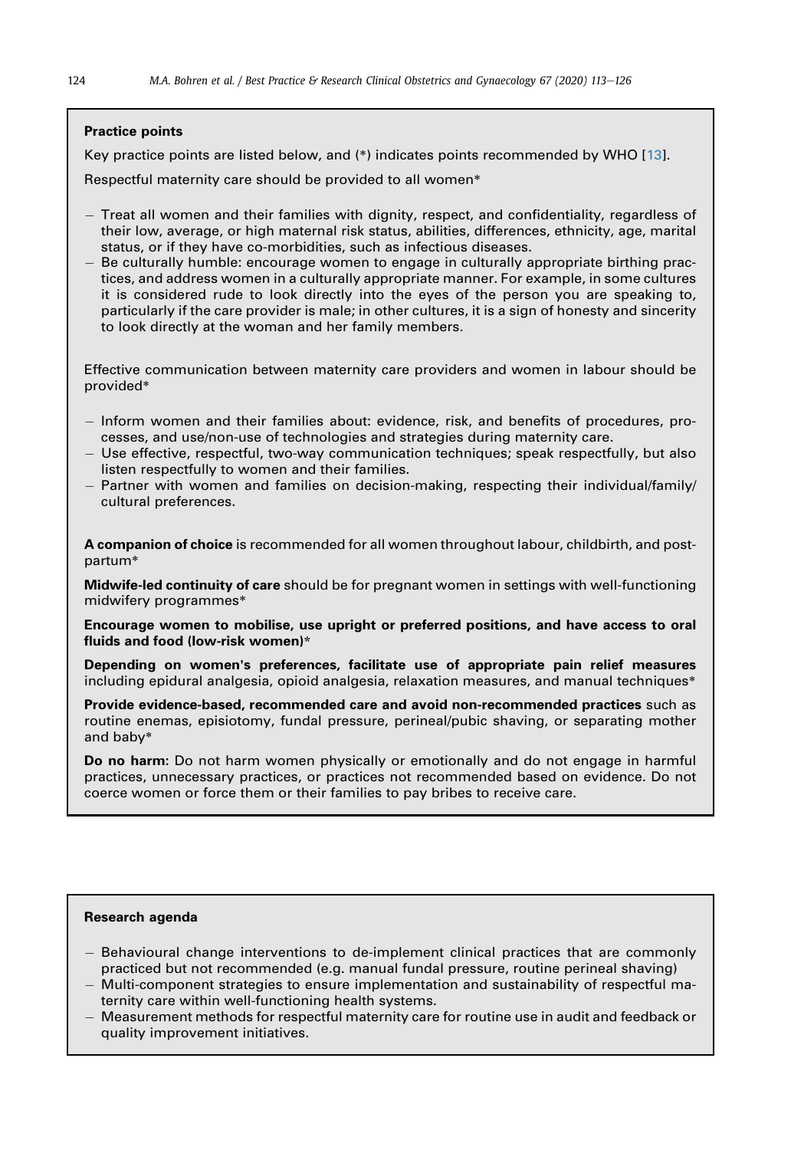## Practice points

Key practice points are listed below, and (\*) indicates points recommended by WHO [[13\]](#page-12-12).

Respectful maternity care should be provided to all women\*

- Treat all women and their families with dignity, respect, and confidentiality, regardless of their low, average, or high maternal risk status, abilities, differences, ethnicity, age, marital status, or if they have co-morbidities, such as infectious diseases.
- Be culturally humble: encourage women to engage in culturally appropriate birthing practices, and address women in a culturally appropriate manner. For example, in some cultures it is considered rude to look directly into the eyes of the person you are speaking to, particularly if the care provider is male; in other cultures, it is a sign of honesty and sincerity to look directly at the woman and her family members.

Effective communication between maternity care providers and women in labour should be provided\*

- Inform women and their families about: evidence, risk, and benefits of procedures, processes, and use/non-use of technologies and strategies during maternity care.
- Use effective, respectful, two-way communication techniques; speak respectfully, but also listen respectfully to women and their families.
- Partner with women and families on decision-making, respecting their individual/family/ cultural preferences.

A companion of choice is recommended for all women throughout labour, childbirth, and postpartum\*

**Midwife-led continuity of care** should be for pregnant women in settings with well-functioning midwifery programmes\*

Encourage women to mobilise, use upright or preferred positions, and have access to oral fluids and food (low-risk women)\*

Depending on women's preferences, facilitate use of appropriate pain relief measures including epidural analgesia, opioid analgesia, relaxation measures, and manual techniques\*

Provide evidence-based, recommended care and avoid non-recommended practices such as routine enemas, episiotomy, fundal pressure, perineal/pubic shaving, or separating mother and baby\*

Do no harm: Do not harm women physically or emotionally and do not engage in harmful practices, unnecessary practices, or practices not recommended based on evidence. Do not coerce women or force them or their families to pay bribes to receive care.

#### Research agenda

- Behavioural change interventions to de-implement clinical practices that are commonly practiced but not recommended (e.g. manual fundal pressure, routine perineal shaving)
- Multi-component strategies to ensure implementation and sustainability of respectful maternity care within well-functioning health systems.
- Measurement methods for respectful maternity care for routine use in audit and feedback or quality improvement initiatives.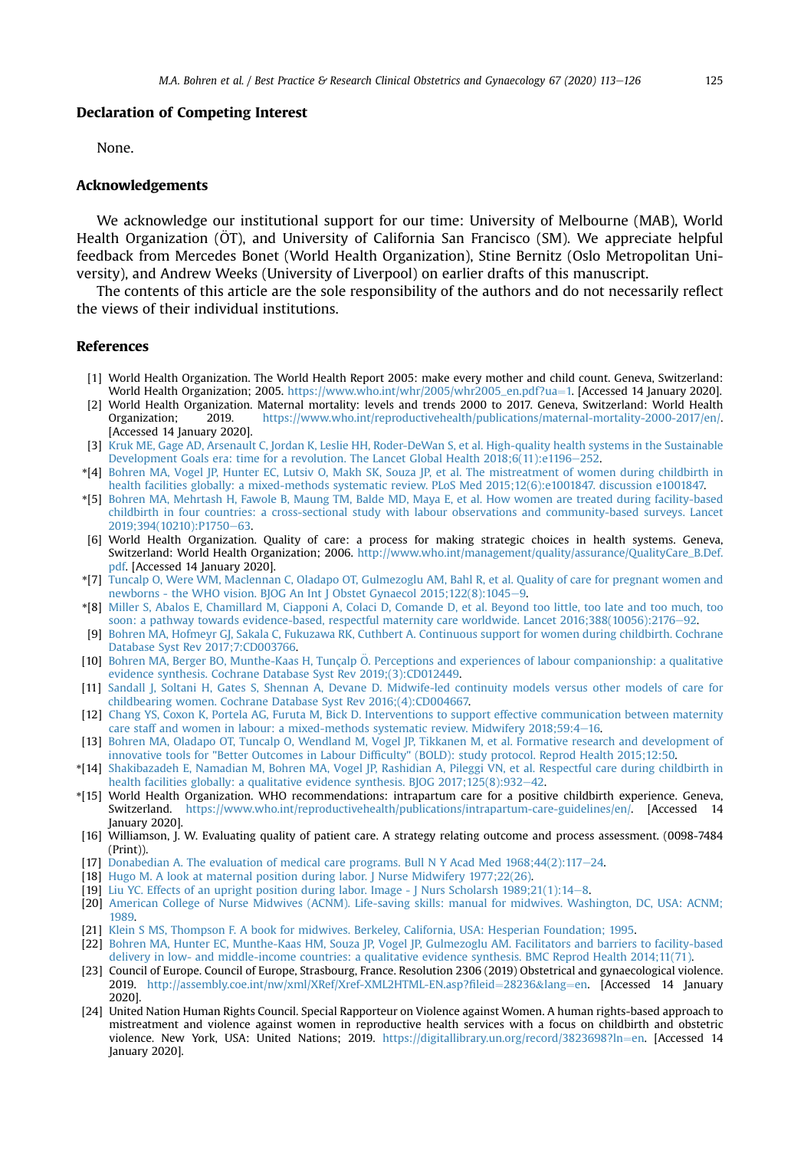#### Declaration of Competing Interest

None.

#### Acknowledgements

We acknowledge our institutional support for our time: University of Melbourne (MAB), World Health Organization (ÖT), and University of California San Francisco (SM). We appreciate helpful feedback from Mercedes Bonet (World Health Organization), Stine Bernitz (Oslo Metropolitan University), and Andrew Weeks (University of Liverpool) on earlier drafts of this manuscript.

The contents of this article are the sole responsibility of the authors and do not necessarily reflect the views of their individual institutions.

#### References

- <span id="page-12-0"></span>[1] World Health Organization. The World Health Report 2005: make every mother and child count. Geneva, Switzerland: World Health Organization; 2005. [https://www.who.int/whr/2005/whr2005\\_en.pdf?ua](https://www.who.int/whr/2005/whr2005_en.pdf?ua=1)=[1.](https://www.who.int/whr/2005/whr2005_en.pdf?ua=1) [Accessed 14 January 2020].
- <span id="page-12-1"></span>[2] World Health Organization. Maternal mortality: levels and trends 2000 to 2017. Geneva, Switzerland: World Health<br>Organization: 2019 https://www.who.int/reproductivehealth/publications/maternal-mortality-2000-2017/en/ Organization; 2019. <https://www.who.int/reproductivehealth/publications/maternal-mortality-2000-2017/en/>. [Accessed 14 January 2020].
- <span id="page-12-2"></span>[3] [Kruk ME, Gage AD, Arsenault C, Jordan K, Leslie HH, Roder-DeWan S, et al. High-quality health systems in the Sustainable](http://refhub.elsevier.com/S1521-6934(20)30032-8/sref3) Development Goals era: time for a revolution. The Lancet Global Health  $2018:6(11):e1196-252$ .
- <span id="page-12-3"></span>\*[4] [Bohren MA, Vogel JP, Hunter EC, Lutsiv O, Makh SK, Souza JP, et al. The mistreatment of women during childbirth in](http://refhub.elsevier.com/S1521-6934(20)30032-8/sref4) [health facilities globally: a mixed-methods systematic review. PLoS Med 2015;12\(6\):e1001847. discussion e1001847.](http://refhub.elsevier.com/S1521-6934(20)30032-8/sref4)
- <span id="page-12-4"></span>\*[5] [Bohren MA, Mehrtash H, Fawole B, Maung TM, Balde MD, Maya E, et al. How women are treated during facility-based](http://refhub.elsevier.com/S1521-6934(20)30032-8/sref5) [childbirth in four countries: a cross-sectional study with labour observations and community-based surveys. Lancet](http://refhub.elsevier.com/S1521-6934(20)30032-8/sref5) 2019:394(10210):P1750-[63](http://refhub.elsevier.com/S1521-6934(20)30032-8/sref5).
- <span id="page-12-5"></span>[6] World Health Organization. Quality of care: a process for making strategic choices in health systems. Geneva, Switzerland: World Health Organization; 2006. [http://www.who.int/management/quality/assurance/QualityCare\\_B.Def.](http://www.who.int/management/quality/assurance/QualityCare_B.Def.pdf) [pdf](http://www.who.int/management/quality/assurance/QualityCare_B.Def.pdf). [Accessed 14 January 2020].
- <span id="page-12-6"></span>\*[7] [Tuncalp O, Were WM, Maclennan C, Oladapo OT, Gulmezoglu AM, Bahl R, et al. Quality of care for pregnant women and](http://refhub.elsevier.com/S1521-6934(20)30032-8/sref7) [newborns - the WHO vision. BJOG An Int J Obstet Gynaecol 2015;122\(8\):1045](http://refhub.elsevier.com/S1521-6934(20)30032-8/sref7)-[9](http://refhub.elsevier.com/S1521-6934(20)30032-8/sref7).
- <span id="page-12-7"></span>\*[8] [Miller S, Abalos E, Chamillard M, Ciapponi A, Colaci D, Comande D, et al. Beyond too little, too late and too much, too](http://refhub.elsevier.com/S1521-6934(20)30032-8/sref8) [soon: a pathway towards evidence-based, respectful maternity care worldwide. Lancet 2016;388\(10056\):2176](http://refhub.elsevier.com/S1521-6934(20)30032-8/sref8)–[92](http://refhub.elsevier.com/S1521-6934(20)30032-8/sref8).
- <span id="page-12-8"></span>[9] [Bohren MA, Hofmeyr GJ, Sakala C, Fukuzawa RK, Cuthbert A. Continuous support for women during childbirth. Cochrane](http://refhub.elsevier.com/S1521-6934(20)30032-8/sref9) [Database Syst Rev 2017;7:CD003766](http://refhub.elsevier.com/S1521-6934(20)30032-8/sref9).
- <span id="page-12-9"></span>[10] [Bohren MA, Berger BO, Munthe-Kaas H, Tunçalp](http://refhub.elsevier.com/S1521-6934(20)30032-8/sref10) Ö[. Perceptions and experiences of labour companionship: a qualitative](http://refhub.elsevier.com/S1521-6934(20)30032-8/sref10) [evidence synthesis. Cochrane Database Syst Rev 2019;\(3\):CD012449.](http://refhub.elsevier.com/S1521-6934(20)30032-8/sref10)
- <span id="page-12-10"></span>[11] [Sandall J, Soltani H, Gates S, Shennan A, Devane D. Midwife-led continuity models versus other models of care for](http://refhub.elsevier.com/S1521-6934(20)30032-8/sref11) [childbearing women. Cochrane Database Syst Rev 2016;\(4\):CD004667.](http://refhub.elsevier.com/S1521-6934(20)30032-8/sref11)
- <span id="page-12-11"></span>[12] [Chang YS, Coxon K, Portela AG, Furuta M, Bick D. Interventions to support effective communication between maternity](http://refhub.elsevier.com/S1521-6934(20)30032-8/sref12) [care staff and women in labour: a mixed-methods systematic review. Midwifery 2018;59:4](http://refhub.elsevier.com/S1521-6934(20)30032-8/sref12)-[16](http://refhub.elsevier.com/S1521-6934(20)30032-8/sref12).
- <span id="page-12-12"></span>[13] [Bohren MA, Oladapo OT, Tuncalp O, Wendland M, Vogel JP, Tikkanen M, et al. Formative research and development of](http://refhub.elsevier.com/S1521-6934(20)30032-8/sref13) innovative tools for "Better Outcomes in Labour Diffi[culty" \(BOLD\): study protocol. Reprod Health 2015;12:50](http://refhub.elsevier.com/S1521-6934(20)30032-8/sref13).
- <span id="page-12-13"></span>\*[14] [Shakibazadeh E, Namadian M, Bohren MA, Vogel JP, Rashidian A, Pileggi VN, et al. Respectful care during childbirth in](http://refhub.elsevier.com/S1521-6934(20)30032-8/sref14) health facilities globally: a qualitative evidence synthesis. BIOG  $2017:125(8):932-42$ .
- <span id="page-12-14"></span>\*[15] World Health Organization. WHO recommendations: intrapartum care for a positive childbirth experience. Geneva, Switzerland. <https://www.who.int/reproductivehealth/publications/intrapartum-care-guidelines/en/>. [Accessed 14 January 2020].
- <span id="page-12-15"></span>[16] Williamson, J. W. Evaluating quality of patient care. A strategy relating outcome and process assessment. (0098-7484 (Print)).
- <span id="page-12-16"></span>[17] [Donabedian A. The evaluation of medical care programs. Bull N Y Acad Med 1968;44\(2\):117](http://refhub.elsevier.com/S1521-6934(20)30032-8/sref17)-[24](http://refhub.elsevier.com/S1521-6934(20)30032-8/sref17).
- <span id="page-12-17"></span>[18] [Hugo M. A look at maternal position during labor. J Nurse Midwifery 1977;22\(26\)](http://refhub.elsevier.com/S1521-6934(20)30032-8/sref18).
- <span id="page-12-18"></span>[19] [Liu YC. Effects of an upright position during labor. Image - J Nurs Scholarsh 1989;21\(1\):14](http://refhub.elsevier.com/S1521-6934(20)30032-8/sref19)e[8](http://refhub.elsevier.com/S1521-6934(20)30032-8/sref19).
- <span id="page-12-19"></span>[20] [American College of Nurse Midwives \(ACNM\). Life-saving skills: manual for midwives. Washington, DC, USA: ACNM;](http://refhub.elsevier.com/S1521-6934(20)30032-8/sref20) [1989](http://refhub.elsevier.com/S1521-6934(20)30032-8/sref20).
- <span id="page-12-20"></span>[21] [Klein S MS, Thompson F. A book for midwives. Berkeley, California, USA: Hesperian Foundation; 1995](http://refhub.elsevier.com/S1521-6934(20)30032-8/sref21).
- <span id="page-12-21"></span>[22] [Bohren MA, Hunter EC, Munthe-Kaas HM, Souza JP, Vogel JP, Gulmezoglu AM. Facilitators and barriers to facility-based](http://refhub.elsevier.com/S1521-6934(20)30032-8/sref22) [delivery in low- and middle-income countries: a qualitative evidence synthesis. BMC Reprod Health 2014;11\(71\)](http://refhub.elsevier.com/S1521-6934(20)30032-8/sref22).
- <span id="page-12-22"></span>[23] Council of Europe. Council of Europe, Strasbourg, France. Resolution 2306 (2019) Obstetrical and gynaecological violence. 2019. [http://assembly.coe.int/nw/xml/XRef/Xref-XML2HTML-EN.asp?](http://assembly.coe.int/nw/xml/XRef/Xref-XML2HTML-EN.asp?fileid=28236&lang=en)fileid=[28236](http://assembly.coe.int/nw/xml/XRef/Xref-XML2HTML-EN.asp?fileid=28236&lang=en)&[lang](http://assembly.coe.int/nw/xml/XRef/Xref-XML2HTML-EN.asp?fileid=28236&lang=en)=[en.](http://assembly.coe.int/nw/xml/XRef/Xref-XML2HTML-EN.asp?fileid=28236&lang=en) [Accessed 14 January 2020].
- <span id="page-12-23"></span>[24] United Nation Human Rights Council. Special Rapporteur on Violence against Women. A human rights-based approach to mistreatment and violence against women in reproductive health services with a focus on childbirth and obstetric violence. New York, USA: United Nations; 2019. [https://digitallibrary.un.org/record/3823698?ln](https://digitallibrary.un.org/record/3823698?ln=en)=[en](https://digitallibrary.un.org/record/3823698?ln=en). [Accessed 14 January 2020].